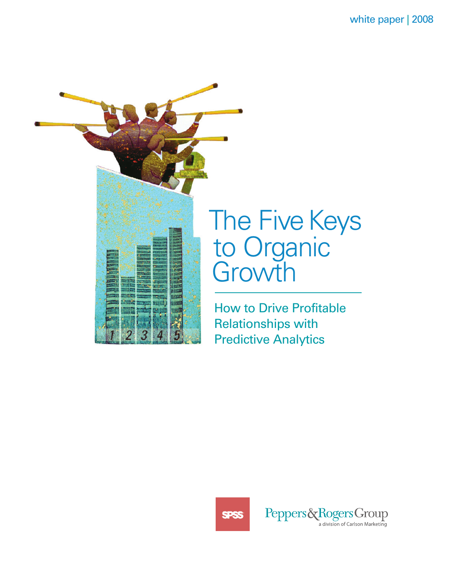

# to Organic

How to Drive Profitable Relationships with Predictive Analytics

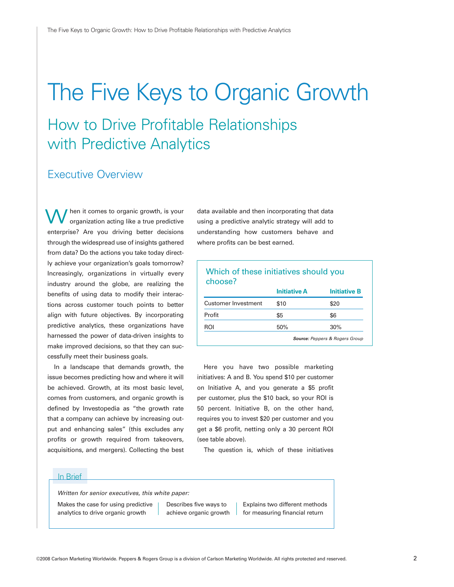# The Five Keys to Organic Growth

# How to Drive Profitable Relationships with Predictive Analytics

#### Executive Overview

hen it comes to organic growth, is your organization acting like a true predictive enterprise? Are you driving better decisions through the widespread use of insights gathered from data? Do the actions you take today directly achieve your organization's goals tomorrow? Increasingly, organizations in virtually every industry around the globe, are realizing the benefits of using data to modify their interactions across customer touch points to better align with future objectives. By incorporating predictive analytics, these organizations have harnessed the power of data-driven insights to make improved decisions, so that they can successfully meet their business goals. w

In a landscape that demands growth, the issue becomes predicting how and where it will be achieved. Growth, at its most basic level, comes from customers, and organic growth is defined by Investopedia as "the growth rate that a company can achieve by increasing output and enhancing sales" (this excludes any profits or growth required from takeovers, acquisitions, and mergers). Collecting the best

data available and then incorporating that data using a predictive analytic strategy will add to understanding how customers behave and where profits can be best earned.

#### Which of these initiatives should you choose?

|                            | <b>Initiative A</b> | <b>Initiative B</b>                       |
|----------------------------|---------------------|-------------------------------------------|
| <b>Customer Investment</b> | \$10                | \$20                                      |
| Profit                     | \$5                 | \$6                                       |
| ROI                        | 50%                 | 30%                                       |
|                            |                     | <b>Source: Peppers &amp; Rogers Group</b> |

Here you have two possible marketing initiatives: A and B. You spend \$10 per customer on Initiative A, and you generate a \$5 profit per customer, plus the \$10 back, so your ROI is 50 percent. Initiative B, on the other hand, requires you to invest \$20 per customer and you get a \$6 profit, netting only a 30 percent ROI (see table above).

The question is, which of these initiatives

#### In Brief

Written for senior executives, this white paper:

Makes the case for using predictive analytics to drive organic growth

Describes five ways to achieve organic growth Explains two different methods for measuring financial return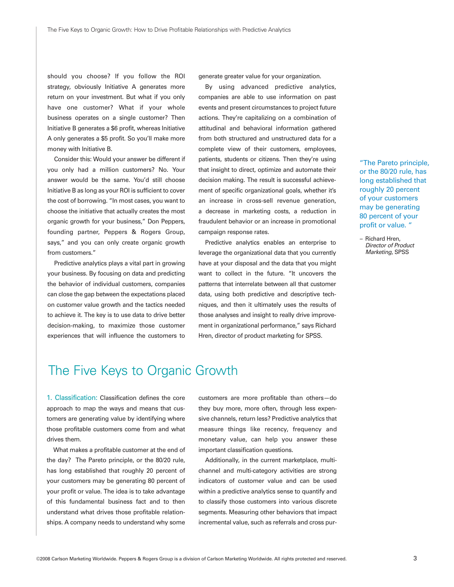should you choose? If you follow the ROI strategy, obviously Initiative A generates more return on your investment. But what if you only have one customer? What if your whole business operates on a single customer? Then Initiative B generates a \$6 profit, whereas Initiative A only generates a \$5 profit. So you'll make more money with Initiative B.

Consider this: Would your answer be different if you only had a million customers? No. Your answer would be the same. You'd still choose Initiative B as long as your ROI is sufficient to cover the cost of borrowing. "In most cases, you want to choose the initiative that actually creates the most organic growth for your business," Don Peppers, founding partner, Peppers & Rogers Group, says," and you can only create organic growth from customers."

Predictive analytics plays a vital part in growing your business. By focusing on data and predicting the behavior of individual customers, companies can close the gap between the expectations placed on customer value growth and the tactics needed to achieve it. The key is to use data to drive better decision-making, to maximize those customer experiences that will influence the customers to generate greater value for your organization.

By using advanced predictive analytics, companies are able to use information on past events and present circumstances to project future actions. They're capitalizing on a combination of attitudinal and behavioral information gathered from both structured and unstructured data for a complete view of their customers, employees, patients, students or citizens. Then they're using that insight to direct, optimize and automate their decision making. The result is successful achievement of specific organizational goals, whether it's an increase in cross-sell revenue generation, a decrease in marketing costs, a reduction in fraudulent behavior or an increase in promotional campaign response rates.

Predictive analytics enables an enterprise to leverage the organizational data that you currently have at your disposal and the data that you might want to collect in the future. "It uncovers the patterns that interrelate between all that customer data, using both predictive and descriptive techniques, and then it ultimately uses the results of those analyses and insight to really drive improvement in organizational performance," says Richard Hren, director of product marketing for SPSS.

"The Pareto principle, or the 80/20 rule, has long established that roughly 20 percent of your customers may be generating 80 percent of your profit or value. "

– Richard Hren, Director of Product Marketing, SPSS

## The Five Keys to Organic Growth

1. Classification: Classification defines the core approach to map the ways and means that customers are generating value by identifying where those profitable customers come from and what drives them.

What makes a profitable customer at the end of the day? The Pareto principle, or the 80/20 rule, has long established that roughly 20 percent of your customers may be generating 80 percent of your profit or value. The idea is to take advantage of this fundamental business fact and to then understand what drives those profitable relationships. A company needs to understand why some

customers are more profitable than others—do they buy more, more often, through less expensive channels, return less? Predictive analytics that measure things like recency, frequency and monetary value, can help you answer these important classification questions.

Additionally, in the current marketplace, multichannel and multi-category activities are strong indicators of customer value and can be used within a predictive analytics sense to quantify and to classify those customers into various discrete segments. Measuring other behaviors that impact incremental value, such as referrals and cross pur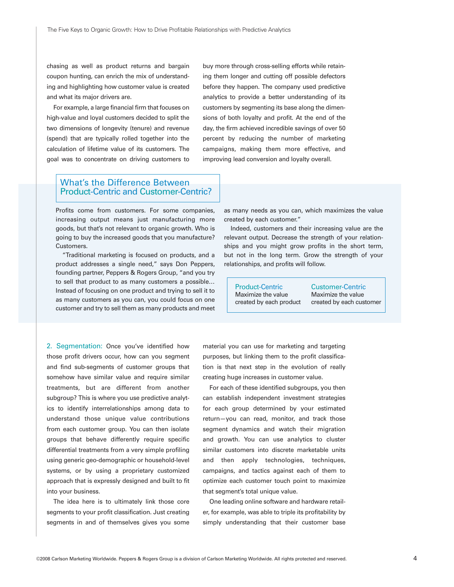chasing as well as product returns and bargain coupon hunting, can enrich the mix of understanding and highlighting how customer value is created and what its major drivers are.

For example, a large financial firm that focuses on high-value and loyal customers decided to split the two dimensions of longevity (tenure) and revenue (spend) that are typically rolled together into the calculation of lifetime value of its customers. The goal was to concentrate on driving customers to buy more through cross-selling efforts while retaining them longer and cutting off possible defectors before they happen. The company used predictive analytics to provide a better understanding of its customers by segmenting its base along the dimensions of both loyalty and profit. At the end of the day, the firm achieved incredible savings of over 50 percent by reducing the number of marketing campaigns, making them more effective, and improving lead conversion and loyalty overall.

#### What's the Difference Between Product-Centric and Customer-Centric?

Profits come from customers. For some companies, increasing output means just manufacturing more goods, but that's not relevant to organic growth. Who is going to buy the increased goods that you manufacture? Customers.

"Traditional marketing is focused on products, and a product addresses a single need," says Don Peppers, founding partner, Peppers & Rogers Group, "and you try to sell that product to as many customers a possible… Instead of focusing on one product and trying to sell it to as many customers as you can, you could focus on one customer and try to sell them as many products and meet

as many needs as you can, which maximizes the value created by each customer."

Indeed, customers and their increasing value are the relevant output. Decrease the strength of your relationships and you might grow profits in the short term, but not in the long term. Grow the strength of your relationships, and profits will follow.

Product-Centric Maximize the value created by each product

Customer-Centric Maximize the value created by each customer

2. Segmentation: Once you've identified how those profit drivers occur, how can you segment and find sub-segments of customer groups that somehow have similar value and require similar treatments, but are different from another subgroup? This is where you use predictive analytics to identify interrelationships among data to understand those unique value contributions from each customer group. You can then isolate groups that behave differently require specific differential treatments from a very simple profiling using generic geo-demographic or household-level systems, or by using a proprietary customized approach that is expressly designed and built to fit into your business.

The idea here is to ultimately link those core segments to your profit classification. Just creating segments in and of themselves gives you some

material you can use for marketing and targeting purposes, but linking them to the profit classification is that next step in the evolution of really creating huge increases in customer value.

For each of these identified subgroups, you then can establish independent investment strategies for each group determined by your estimated return—you can read, monitor, and track those segment dynamics and watch their migration and growth. You can use analytics to cluster similar customers into discrete marketable units and then apply technologies, techniques, campaigns, and tactics against each of them to optimize each customer touch point to maximize that segment's total unique value.

One leading online software and hardware retailer, for example, was able to triple its profitability by simply understanding that their customer base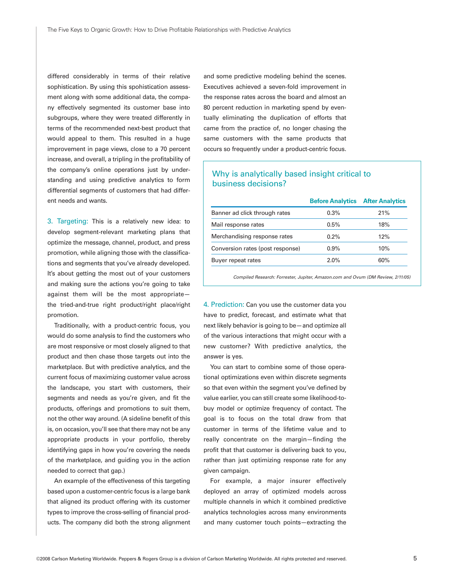differed considerably in terms of their relative sophistication. By using this spohistication assessment along with some additional data, the company effectively segmented its customer base into subgroups, where they were treated differently in terms of the recommended next-best product that would appeal to them. This resulted in a huge improvement in page views, close to a 70 percent increase, and overall, a tripling in the profitability of the company's online operations just by understanding and using predictive analytics to form differential segments of customers that had different needs and wants.

3. Targeting: This is a relatively new idea: to develop segment-relevant marketing plans that optimize the message, channel, product, and press promotion, while aligning those with the classifications and segments that you've already developed. It's about getting the most out of your customers and making sure the actions you're going to take against them will be the most appropriate the tried-and-true right product/right place/right promotion.

Traditionally, with a product-centric focus, you would do some analysis to find the customers who are most responsive or most closely aligned to that product and then chase those targets out into the marketplace. But with predictive analytics, and the current focus of maximizing customer value across the landscape, you start with customers, their segments and needs as you're given, and fit the products, offerings and promotions to suit them, not the other way around. (A sideline benefit of this is, on occasion, you'll see that there may not be any appropriate products in your portfolio, thereby identifying gaps in how you're covering the needs of the marketplace, and guiding you in the action needed to correct that gap.)

An example of the effectiveness of this targeting based upon a customer-centric focus is a large bank that aligned its product offering with its customer types to improve the cross-selling of financial products. The company did both the strong alignment

and some predictive modeling behind the scenes. Executives achieved a seven-fold improvement in the response rates across the board and almost an 80 percent reduction in marketing spend by eventually eliminating the duplication of efforts that came from the practice of, no longer chasing the same customers with the same products that occurs so frequently under a product-centric focus.

#### Why is analytically based insight critical to business decisions?

|                                  | <b>Before Analytics After Analytics</b> |     |
|----------------------------------|-----------------------------------------|-----|
| Banner ad click through rates    | 0.3%                                    | 21% |
| Mail response rates              | 0.5%                                    | 18% |
| Merchandising response rates     | 0.2%                                    | 12% |
| Conversion rates (post response) | 0.9%                                    | 10% |
| Buyer repeat rates               | 2.0%                                    | 60% |

Compiled Research: Forrester, Jupiter, Amazon.com and Ovum (DM Review, 2/11/05)

4. Prediction: Can you use the customer data you have to predict, forecast, and estimate what that next likely behavior is going to be—and optimize all of the various interactions that might occur with a new customer? With predictive analytics, the answer is yes.

You can start to combine some of those operational optimizations even within discrete segments so that even within the segment you've defined by value earlier, you can still create some likelihood-tobuy model or optimize frequency of contact. The goal is to focus on the total draw from that customer in terms of the lifetime value and to really concentrate on the margin—finding the profit that that customer is delivering back to you, rather than just optimizing response rate for any given campaign.

For example, a major insurer effectively deployed an array of optimized models across multiple channels in which it combined predictive analytics technologies across many environments and many customer touch points—extracting the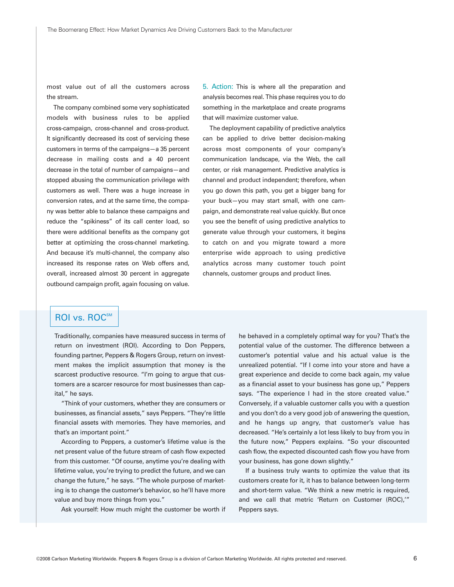most value out of all the customers across the stream.

The company combined some very sophisticated models with business rules to be applied cross-campaign, cross-channel and cross-product. It significantly decreased its cost of servicing these customers in terms of the campaigns—a 35 percent decrease in mailing costs and a 40 percent decrease in the total of number of campaigns—and stopped abusing the communication privilege with customers as well. There was a huge increase in conversion rates, and at the same time, the company was better able to balance these campaigns and reduce the "spikiness" of its call center load, so there were additional benefits as the company got better at optimizing the cross-channel marketing. And because it's multi-channel, the company also increased its response rates on Web offers and, overall, increased almost 30 percent in aggregate outbound campaign profit, again focusing on value.

5. Action: This is where all the preparation and analysis becomes real. This phase requires you to do something in the marketplace and create programs that will maximize customer value.

The deployment capability of predictive analytics can be applied to drive better decision-making across most components of your company's communication landscape, via the Web, the call center, or risk management. Predictive analytics is channel and product independent; therefore, when you go down this path, you get a bigger bang for your buck—you may start small, with one campaign, and demonstrate real value quickly. But once you see the benefit of using predictive analytics to generate value through your customers, it begins to catch on and you migrate toward a more enterprise wide approach to using predictive analytics across many customer touch point channels, customer groups and product lines.

#### ROI vs. ROC<sup>SM</sup>

Traditionally, companies have measured success in terms of return on investment (ROI). According to Don Peppers, founding partner, Peppers & Rogers Group, return on investment makes the implicit assumption that money is the scarcest productive resource. "I'm going to argue that customers are a scarcer resource for most businesses than capital," he says.

"Think of your customers, whether they are consumers or businesses, as financial assets," says Peppers. "They're little financial assets with memories. They have memories, and that's an important point."

According to Peppers, a customer's lifetime value is the net present value of the future stream of cash flow expected from this customer. "Of course, anytime you're dealing with lifetime value, you're trying to predict the future, and we can change the future," he says. "The whole purpose of marketing is to change the customer's behavior, so he'll have more value and buy more things from you."

Ask yourself: How much might the customer be worth if

he behaved in a completely optimal way for you? That's the potential value of the customer. The difference between a customer's potential value and his actual value is the unrealized potential. "If I come into your store and have a great experience and decide to come back again, my value as a financial asset to your business has gone up," Peppers says. "The experience I had in the store created value." Conversely, if a valuable customer calls you with a question and you don't do a very good job of answering the question, and he hangs up angry, that customer's value has decreased. "He's certainly a lot less likely to buy from you in the future now," Peppers explains. "So your discounted cash flow, the expected discounted cash flow you have from your business, has gone down slightly."

If a business truly wants to optimize the value that its customers create for it, it has to balance between long-term and short-term value. "We think a new metric is required, and we call that metric 'Return on Customer (ROC),'" Peppers says.